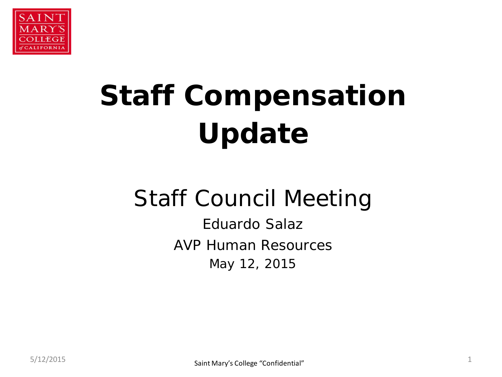

# **Staff Compensation Update**

## Staff Council Meeting

Eduardo Salaz AVP Human Resources May 12, 2015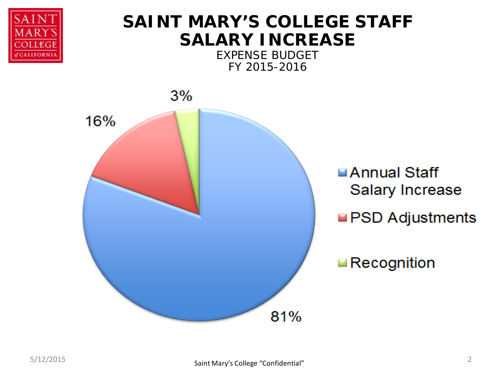

### **SAINT MARY'S COLLEGE STAFF SALARY INCREASE**

EXPENSE BUDGET FY 2015-2016

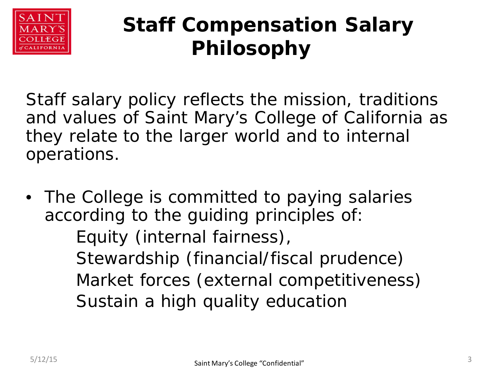

## **Staff Compensation Salary Philosophy**

Staff salary policy reflects the mission, traditions and values of Saint Mary's College of California as they relate to the larger world and to internal operations.

• The College is committed to paying salaries according to the guiding principles of: Equity (internal fairness), Stewardship (financial/fiscal prudence) Market forces (external competitiveness) Sustain a high quality education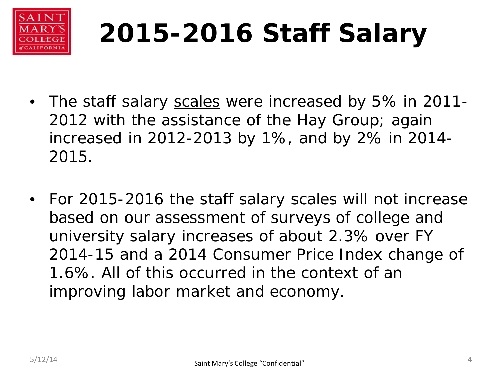

# **2015-2016 Staff Salary**

- The staff salary scales were increased by 5% in 2011-2012 with the assistance of the Hay Group; again increased in 2012-2013 by 1%, and by 2% in 2014- 2015.
- For 2015-2016 the staff salary scales will not increase based on our assessment of surveys of college and university salary increases of about 2.3% over FY 2014-15 and a 2014 Consumer Price Index change of 1.6%. All of this occurred in the context of an improving labor market and economy.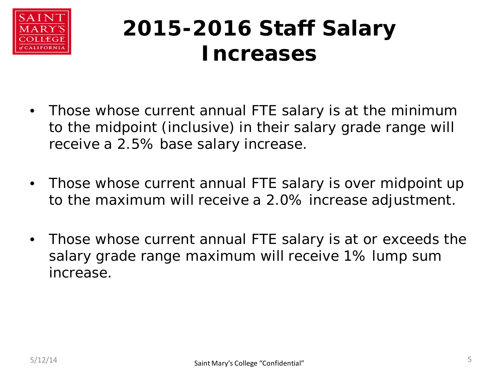

## **2015-2016 Staff Salary Increases**

- Those whose current annual FTE salary is at the minimum to the midpoint (inclusive) in their salary grade range will receive a 2.5% base salary increase.
- Those whose current annual FTE salary is over midpoint up to the maximum will receive a 2.0% increase adjustment.
- Those whose current annual FTE salary is at or exceeds the salary grade range maximum will receive 1% lump sum increase.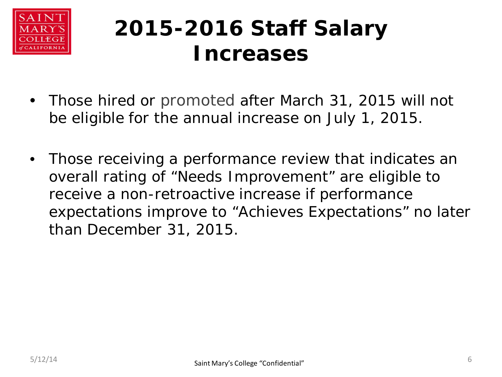

## **2015-2016 Staff Salary Increases**

- Those hired or promoted after March 31, 2015 will not be eligible for the annual increase on July 1, 2015.
- Those receiving a performance review that indicates an overall rating of "Needs Improvement" are eligible to receive a non-retroactive increase if performance expectations improve to "Achieves Expectations" no later than December 31, 2015.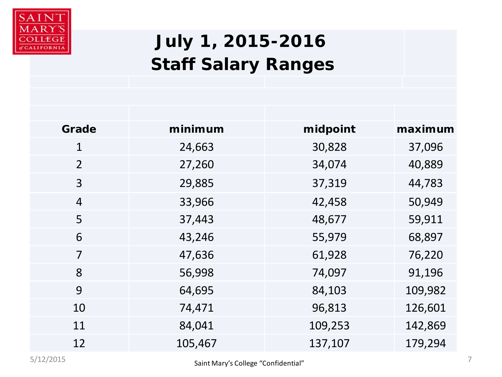

## **July 1, 2015-2016 Staff Salary Ranges**

| Grade          | minimum | midpoint | maximum |
|----------------|---------|----------|---------|
| $\mathbf{1}$   | 24,663  | 30,828   | 37,096  |
| $\overline{2}$ | 27,260  | 34,074   | 40,889  |
| 3              | 29,885  | 37,319   | 44,783  |
| $\overline{4}$ | 33,966  | 42,458   | 50,949  |
| 5              | 37,443  | 48,677   | 59,911  |
| 6              | 43,246  | 55,979   | 68,897  |
| 7              | 47,636  | 61,928   | 76,220  |
| 8              | 56,998  | 74,097   | 91,196  |
| 9              | 64,695  | 84,103   | 109,982 |
| 10             | 74,471  | 96,813   | 126,601 |
| 11             | 84,041  | 109,253  | 142,869 |
| 12             | 105,467 | 137,107  | 179,294 |
|                |         |          |         |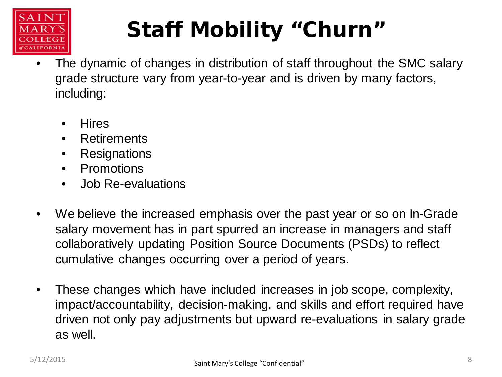

# **Staff Mobility "Churn"**

- The dynamic of changes in distribution of staff throughout the SMC salary grade structure vary from year-to-year and is driven by many factors, including:
	- **Hires**
	- Retirements
	- Resignations
	- Promotions
	- Job Re-evaluations
- We believe the increased emphasis over the past year or so on In-Grade salary movement has in part spurred an increase in managers and staff collaboratively updating Position Source Documents (PSDs) to reflect cumulative changes occurring over a period of years.
- These changes which have included increases in job scope, complexity, impact/accountability, decision-making, and skills and effort required have driven not only pay adjustments but upward re-evaluations in salary grade as well.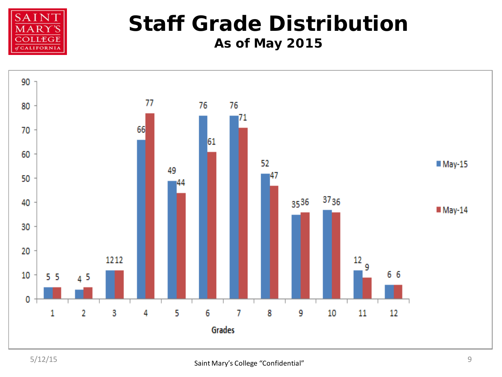

### **Staff Grade Distribution As of May 2015**

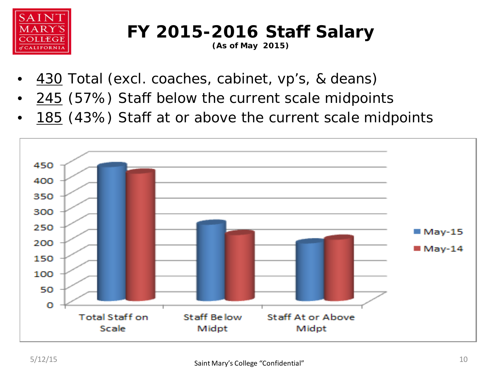

### **FY 2015-2016 Staff Salary**

**(As of May 2015)**

- 430 Total (excl. coaches, cabinet, vp's, & deans)
- 245 (57%) Staff below the current scale midpoints
- 185 (43%) Staff at or above the current scale midpoints

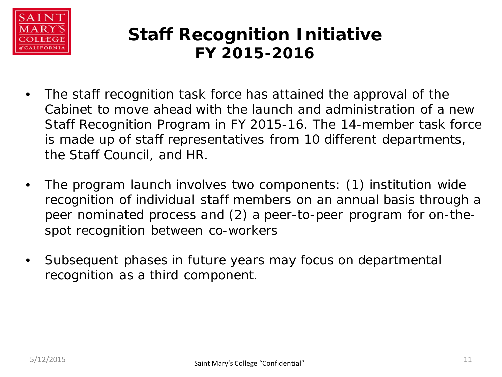

#### **Staff Recognition Initiative FY 2015-2016**

- The staff recognition task force has attained the approval of the Cabinet to move ahead with the launch and administration of a new Staff Recognition Program in FY 2015-16. The 14-member task force is made up of staff representatives from 10 different departments, the Staff Council, and HR.
- The program launch involves two components: (1) institution wide recognition of individual staff members on an annual basis through a peer nominated process and (2) a peer-to-peer program for on-thespot recognition between co-workers
- Subsequent phases in future years may focus on departmental recognition as a third component.